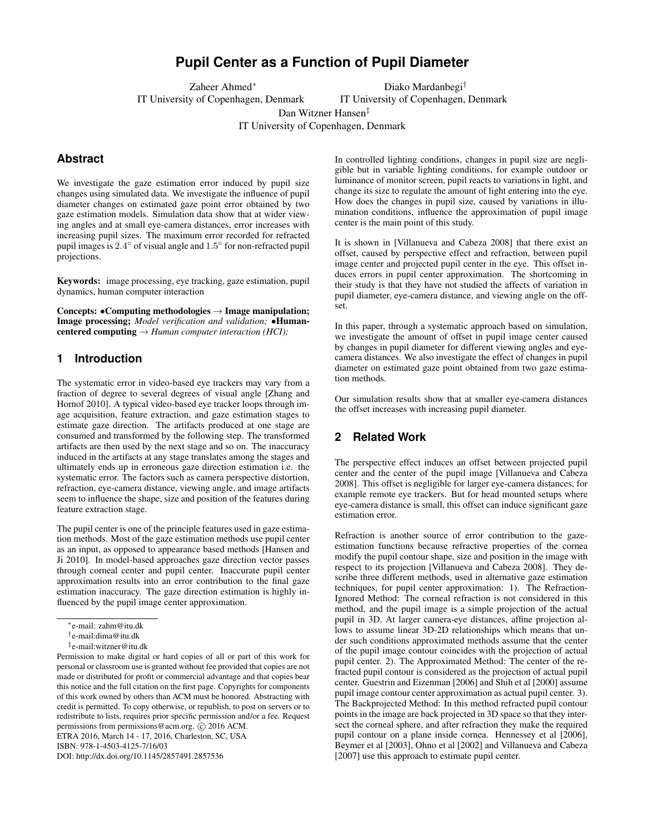# **Pupil Center as a Function of Pupil Diameter**

Zaheer Ahmed<sup>∗</sup> IT University of Copenhagen, Denmark Diako Mardanbegi†

IT University of Copenhagen, Denmark

Dan Witzner Hansen‡

IT University of Copenhagen, Denmark

## **Abstract**

We investigate the gaze estimation error induced by pupil size changes using simulated data. We investigate the influence of pupil diameter changes on estimated gaze point error obtained by two gaze estimation models. Simulation data show that at wider viewing angles and at small eye-camera distances, error increases with increasing pupil sizes. The maximum error recorded for refracted pupil images is 2.4° of visual angle and 1.5° for non-refracted pupil projections.

Keywords: image processing, eye tracking, gaze estimation, pupil dynamics, human computer interaction

Concepts:  $\bullet$ Computing methodologies  $\rightarrow$  Image manipulation; Image processing; *Model verification and validation;* •Humancentered computing → *Human computer interaction (HCI);*

### **1 Introduction**

The systematic error in video-based eye trackers may vary from a fraction of degree to several degrees of visual angle [\[Zhang and](#page-3-0) [Hornof 2010\]](#page-3-0). A typical video-based eye tracker loops through image acquisition, feature extraction, and gaze estimation stages to estimate gaze direction. The artifacts produced at one stage are consumed and transformed by the following step. The transformed artifacts are then used by the next stage and so on. The inaccuracy induced in the artifacts at any stage translates among the stages and ultimately ends up in erroneous gaze direction estimation i.e. the systematic error. The factors such as camera perspective distortion, refraction, eye-camera distance, viewing angle, and image artifacts seem to influence the shape, size and position of the features during feature extraction stage.

The pupil center is one of the principle features used in gaze estimation methods. Most of the gaze estimation methods use pupil center as an input, as opposed to appearance based methods [\[Hansen and](#page-3-1) [Ji 2010\]](#page-3-1). In model-based approaches gaze direction vector passes through corneal center and pupil center. Inaccurate pupil center approximation results into an error contribution to the final gaze estimation inaccuracy. The gaze direction estimation is highly influenced by the pupil image center approximation.

ETRA 2016, March 14 - 17, 2016, Charleston, SC, USA

ISBN: 978-1-4503-4125-7/16/03

DOI: <http://dx.doi.org/10.1145/2857491.2857536>

In controlled lighting conditions, changes in pupil size are negligible but in variable lighting conditions, for example outdoor or luminance of monitor screen, pupil reacts to variations in light, and change its size to regulate the amount of light entering into the eye. How does the changes in pupil size, caused by variations in illumination conditions, influence the approximation of pupil image center is the main point of this study.

It is shown in [\[Villanueva and Cabeza 2008\]](#page-3-2) that there exist an offset, caused by perspective effect and refraction, between pupil image center and projected pupil center in the eye. This offset induces errors in pupil center approximation. The shortcoming in their study is that they have not studied the affects of variation in pupil diameter, eye-camera distance, and viewing angle on the offset.

In this paper, through a systematic approach based on simulation, we investigate the amount of offset in pupil image center caused by changes in pupil diameter for different viewing angles and eyecamera distances. We also investigate the effect of changes in pupil diameter on estimated gaze point obtained from two gaze estimation methods.

Our simulation results show that at smaller eye-camera distances the offset increases with increasing pupil diameter.

### **2 Related Work**

The perspective effect induces an offset between projected pupil center and the center of the pupil image [\[Villanueva and Cabeza](#page-3-2) [2008\]](#page-3-2). This offset is negligible for larger eye-camera distances, for example remote eye trackers. But for head mounted setups where eye-camera distance is small, this offset can induce significant gaze estimation error.

Refraction is another source of error contribution to the gazeestimation functions because refractive properties of the cornea modify the pupil contour shape, size and position in the image with respect to its projection [\[Villanueva and Cabeza 2008\]](#page-3-2). They describe three different methods, used in alternative gaze estimation techniques, for pupil center approximation: 1). The Refraction-Ignored Method: The corneal refraction is not considered in this method, and the pupil image is a simple projection of the actual pupil in 3D. At larger camera-eye distances, affine projection allows to assume linear 3D-2D relationships which means that under such conditions approximated methods assume that the center of the pupil image contour coincides with the projection of actual pupil center. 2). The Approximated Method: The center of the refracted pupil contour is considered as the projection of actual pupil center. Guestrin and Eizenman [\[2006\]](#page-3-3) and Shih et al [\[2000\]](#page-3-4) assume pupil image contour center approximation as actual pupil center. 3). The Backprojected Method: In this method refracted pupil contour points in the image are back projected in 3D space so that they intersect the corneal sphere, and after refraction they make the required pupil contour on a plane inside cornea. Hennessey et al [\[2006\]](#page-3-5), Beymer et al [\[2003\]](#page-3-6), Ohno et al [\[2002\]](#page-3-7) and Villanueva and Cabeza [\[2007\]](#page-3-8) use this approach to estimate pupil center.

<sup>∗</sup>e-mail: zahm@itu.dk

<sup>†</sup> e-mail:dima@itu.dk

<sup>‡</sup> e-mail:witzner@itu.dk

Permission to make digital or hard copies of all or part of this work for personal or classroom use is granted without fee provided that copies are not made or distributed for profit or commercial advantage and that copies bear this notice and the full citation on the first page. Copyrights for components of this work owned by others than ACM must be honored. Abstracting with credit is permitted. To copy otherwise, or republish, to post on servers or to redistribute to lists, requires prior specific permission and/or a fee. Request permissions from permissions@acm.org.  $\odot$  2016 ACM.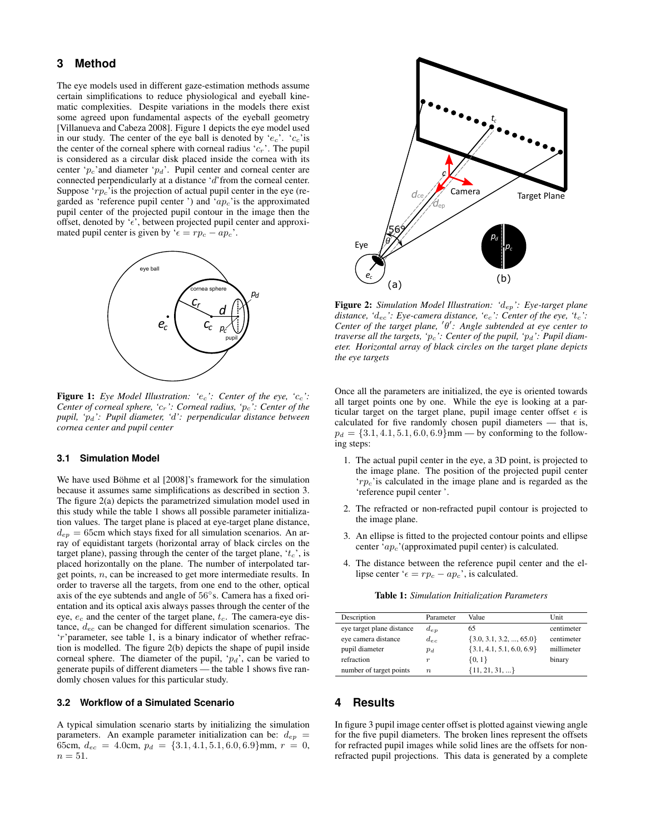### <span id="page-1-1"></span>**3 Method**

The eye models used in different gaze-estimation methods assume certain simplifications to reduce physiological and eyeball kinematic complexities. Despite variations in the models there exist some agreed upon fundamental aspects of the eyeball geometry [\[Villanueva and Cabeza 2008\]](#page-3-2). Figure [1](#page-1-0) depicts the eye model used in our study. The center of the eye ball is denoted by ' $e_c$ '. ' $c_c$ 'is the center of the corneal sphere with corneal radius ' $c_r$ '. The pupil is considered as a circular disk placed inside the cornea with its center ' $p_c$ ' and diameter ' $p_d$ '. Pupil center and corneal center are connected perpendicularly at a distance 'd'from the corneal center. Suppose ' $rp_c$ ' is the projection of actual pupil center in the eye (regarded as 'reference pupil center') and ' $ap_c$ 'is the approximated pupil center of the projected pupil contour in the image then the offset, denoted by ' $\epsilon$ ', between projected pupil center and approximated pupil center is given by ' $\epsilon = rp_c - ap_c$ '.

<span id="page-1-0"></span>

Figure 1: *Eye Model Illustration: '*ec*': Center of the eye, '*cc*': Center of corneal sphere, '*cr*': Corneal radius, '*pc*': Center of the pupil, '*pd*': Pupil diameter, '*d*': perpendicular distance between cornea center and pupil center*

#### **3.1 Simulation Model**

We have used Böhme et al [[2008\]](#page-3-9)'s framework for the simulation because it assumes same simplifications as described in section [3.](#page-1-1) The figure [2\(](#page-1-2)a) depicts the parametrized simulation model used in this study while the table [1](#page-1-3) shows all possible parameter initialization values. The target plane is placed at eye-target plane distance,  $d_{ep} = 65$ cm which stays fixed for all simulation scenarios. An array of equidistant targets (horizontal array of black circles on the target plane), passing through the center of the target plane,  $t_c$ , is placed horizontally on the plane. The number of interpolated target points, n, can be increased to get more intermediate results. In order to traverse all the targets, from one end to the other, optical axis of the eye subtends and angle of 56◦ s. Camera has a fixed orientation and its optical axis always passes through the center of the eye,  $e_c$  and the center of the target plane,  $t_c$ . The camera-eye distance, dec can be changed for different simulation scenarios. The 'r'parameter, see table [1,](#page-1-3) is a binary indicator of whether refraction is modelled. The figure [2\(](#page-1-2)b) depicts the shape of pupil inside corneal sphere. The diameter of the pupil, ' $p_d$ ', can be varied to generate pupils of different diameters — the table [1](#page-1-3) shows five randomly chosen values for this particular study.

#### <span id="page-1-4"></span>**3.2 Workflow of a Simulated Scenario**

A typical simulation scenario starts by initializing the simulation parameters. An example parameter initialization can be:  $d_{ep}$  = 65cm,  $d_{ec} = 4.0$ cm,  $p_d = \{3.1, 4.1, 5.1, 6.0, 6.9\}$ mm,  $r = 0$ ,  $n=51$ .

<span id="page-1-2"></span>

Figure 2: *Simulation Model Illustration: '*dep*': Eye-target plane distance, '*dec*': Eye-camera distance, '*ec*': Center of the eye, '*tc*': Center of the target plane, 'θ': Angle subtended at eye center to traverse all the targets, 'p<sub>c</sub>': Center of the pupil, 'p<sub>d</sub>': Pupil diameter. Horizontal array of black circles on the target plane depicts the eye targets*

Once all the parameters are initialized, the eye is oriented towards all target points one by one. While the eye is looking at a particular target on the target plane, pupil image center offset  $\epsilon$  is calculated for five randomly chosen pupil diameters — that is,  $p_d = \{3.1, 4.1, 5.1, 6.0, 6.9\}$ mm — by conforming to the following steps:

- 1. The actual pupil center in the eye, a 3D point, is projected to the image plane. The position of the projected pupil center  $\langle r p_c \rangle$  is calculated in the image plane and is regarded as the 'reference pupil center '.
- 2. The refracted or non-refracted pupil contour is projected to the image plane.
- 3. An ellipse is fitted to the projected contour points and ellipse center ' $ap_c$ '(approximated pupil center) is calculated.
- 4. The distance between the reference pupil center and the ellipse center ' $\epsilon = rp_c - ap_c$ ', is calculated.

Table 1: *Simulation Initialization Parameters*

<span id="page-1-3"></span>

| Description               | Parameter        | Value                         | Unit       |
|---------------------------|------------------|-------------------------------|------------|
| eye target plane distance | $d_{ep}$         | 65                            | centimeter |
| eye camera distance       | $d_{ec}$         | $\{3.0, 3.1, 3.2, , 65.0\}$   | centimeter |
| pupil diameter            | $p_d$            | $\{3.1, 4.1, 5.1, 6.0, 6.9\}$ | millimeter |
| refraction                | $\boldsymbol{r}$ | $\{0, 1\}$                    | binary     |
| number of target points   | $\boldsymbol{n}$ | $\{11, 21, 31, \}$            |            |

### **4 Results**

In figure [3](#page-2-0) pupil image center offset is plotted against viewing angle for the five pupil diameters. The broken lines represent the offsets for refracted pupil images while solid lines are the offsets for nonrefracted pupil projections. This data is generated by a complete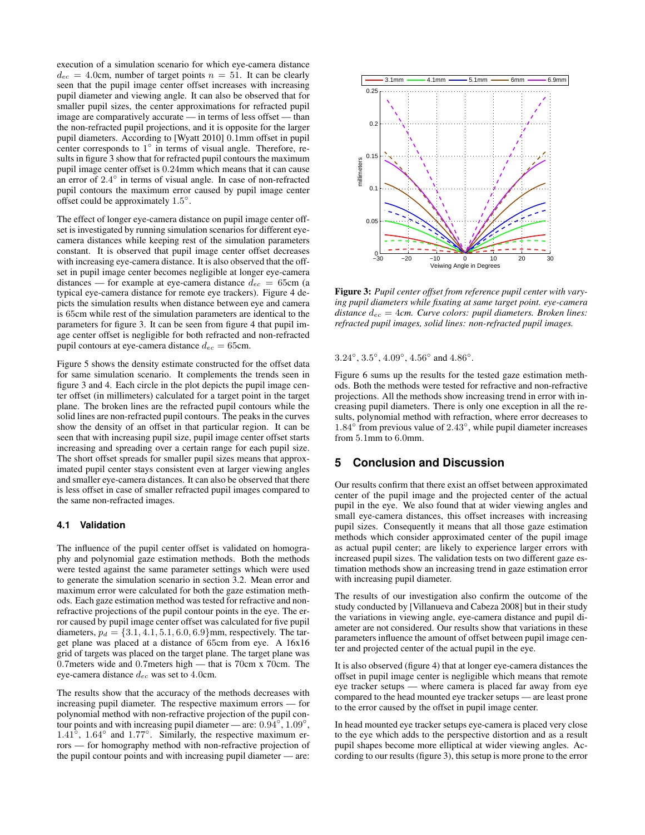execution of a simulation scenario for which eye-camera distance  $d_{ec} = 4.0$ cm, number of target points  $n = 51$ . It can be clearly seen that the pupil image center offset increases with increasing pupil diameter and viewing angle. It can also be observed that for smaller pupil sizes, the center approximations for refracted pupil image are comparatively accurate — in terms of less offset — than the non-refracted pupil projections, and it is opposite for the larger pupil diameters. According to [\[Wyatt 2010\]](#page-3-10) 0.1mm offset in pupil center corresponds to  $1^{\circ}$  in terms of visual angle. Therefore, results in figure [3](#page-2-0) show that for refracted pupil contours the maximum pupil image center offset is 0.24mm which means that it can cause an error of  $2.4^\circ$  in terms of visual angle. In case of non-refracted pupil contours the maximum error caused by pupil image center offset could be approximately  $1.5^\circ$ .

The effect of longer eye-camera distance on pupil image center offset is investigated by running simulation scenarios for different eyecamera distances while keeping rest of the simulation parameters constant. It is observed that pupil image center offset decreases with increasing eye-camera distance. It is also observed that the offset in pupil image center becomes negligible at longer eye-camera distances — for example at eye-camera distance  $d_{ec} = 65$ cm (a typical eye-camera distance for remote eye trackers). Figure [4](#page-3-11) depicts the simulation results when distance between eye and camera is 65cm while rest of the simulation parameters are identical to the parameters for figure [3.](#page-2-0) It can be seen from figure [4](#page-3-11) that pupil image center offset is negligible for both refracted and non-refracted pupil contours at eye-camera distance  $d_{ec} = 65$ cm.

Figure [5](#page-3-12) shows the density estimate constructed for the offset data for same simulation scenario. It complements the trends seen in figure [3](#page-2-0) and [4.](#page-3-11) Each circle in the plot depicts the pupil image center offset (in millimeters) calculated for a target point in the target plane. The broken lines are the refracted pupil contours while the solid lines are non-refracted pupil contours. The peaks in the curves show the density of an offset in that particular region. It can be seen that with increasing pupil size, pupil image center offset starts increasing and spreading over a certain range for each pupil size. The short offset spreads for smaller pupil sizes means that approximated pupil center stays consistent even at larger viewing angles and smaller eye-camera distances. It can also be observed that there is less offset in case of smaller refracted pupil images compared to the same non-refracted images.

### **4.1 Validation**

The influence of the pupil center offset is validated on homography and polynomial gaze estimation methods. Both the methods were tested against the same parameter settings which were used to generate the simulation scenario in section [3.2.](#page-1-4) Mean error and maximum error were calculated for both the gaze estimation methods. Each gaze estimation method was tested for refractive and nonrefractive projections of the pupil contour points in the eye. The error caused by pupil image center offset was calculated for five pupil diameters,  $p_d = \{3.1, 4.1, 5.1, 6.0, 6.9\}$ mm, respectively. The target plane was placed at a distance of 65cm from eye. A 16x16 grid of targets was placed on the target plane. The target plane was 0.7meters wide and 0.7meters high — that is 70cm x 70cm. The eye-camera distance dec was set to 4.0cm.

The results show that the accuracy of the methods decreases with increasing pupil diameter. The respective maximum errors — for polynomial method with non-refractive projection of the pupil contour points and with increasing pupil diameter — are:  $0.94^\circ$ ,  $1.09^\circ$ , 1.41<sup>°</sup>, 1.64° and 1.77°. Similarly, the respective maximum errors — for homography method with non-refractive projection of the pupil contour points and with increasing pupil diameter — are:

<span id="page-2-0"></span>

Figure 3: *Pupil center offset from reference pupil center with varying pupil diameters while fixating at same target point. eye-camera distance*  $d_{ec} = 4cm$ *. Curve colors: pupil diameters. Broken lines: refracted pupil images, solid lines: non-refracted pupil images.*

 $3.24^{\circ}, 3.5^{\circ}, 4.09^{\circ}, 4.56^{\circ}$  and  $4.86^{\circ}$ .

Figure [6](#page-3-13) sums up the results for the tested gaze estimation methods. Both the methods were tested for refractive and non-refractive projections. All the methods show increasing trend in error with increasing pupil diameters. There is only one exception in all the results, polynomial method with refraction, where error decreases to 1.84° from previous value of 2.43°, while pupil diameter increases from 5.1mm to 6.0mm.

### **5 Conclusion and Discussion**

Our results confirm that there exist an offset between approximated center of the pupil image and the projected center of the actual pupil in the eye. We also found that at wider viewing angles and small eye-camera distances, this offset increases with increasing pupil sizes. Consequently it means that all those gaze estimation methods which consider approximated center of the pupil image as actual pupil center; are likely to experience larger errors with increased pupil sizes. The validation tests on two different gaze estimation methods show an increasing trend in gaze estimation error with increasing pupil diameter.

The results of our investigation also confirm the outcome of the study conducted by [\[Villanueva and Cabeza 2008\]](#page-3-2) but in their study the variations in viewing angle, eye-camera distance and pupil diameter are not considered. Our results show that variations in these parameters influence the amount of offset between pupil image center and projected center of the actual pupil in the eye.

It is also observed (figure [4\)](#page-3-11) that at longer eye-camera distances the offset in pupil image center is negligible which means that remote eye tracker setups — where camera is placed far away from eye compared to the head mounted eye tracker setups — are least prone to the error caused by the offset in pupil image center.

In head mounted eye tracker setups eye-camera is placed very close to the eye which adds to the perspective distortion and as a result pupil shapes become more elliptical at wider viewing angles. According to our results (figure [3\)](#page-2-0), this setup is more prone to the error